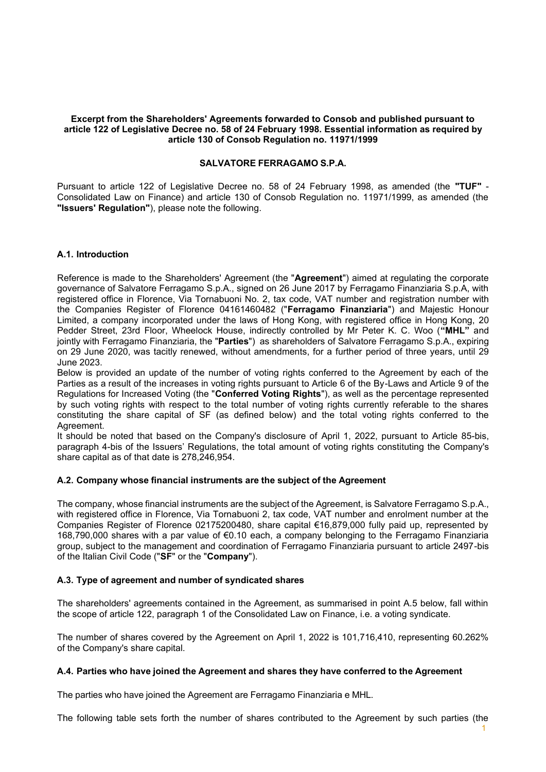#### **Excerpt from the Shareholders' Agreements forwarded to Consob and published pursuant to article 122 of Legislative Decree no. 58 of 24 February 1998. Essential information as required by article 130 of Consob Regulation no. 11971/1999**

#### **SALVATORE FERRAGAMO S.P.A.**

Pursuant to article 122 of Legislative Decree no. 58 of 24 February 1998, as amended (the **"TUF"** - Consolidated Law on Finance) and article 130 of Consob Regulation no. 11971/1999, as amended (the **"Issuers' Regulation"**), please note the following.

## **A.1. Introduction**

Reference is made to the Shareholders' Agreement (the "**Agreement**") aimed at regulating the corporate governance of Salvatore Ferragamo S.p.A., signed on 26 June 2017 by Ferragamo Finanziaria S.p.A, with registered office in Florence, Via Tornabuoni No. 2, tax code, VAT number and registration number with the Companies Register of Florence 04161460482 ("**Ferragamo Finanziaria**") and Majestic Honour Limited, a company incorporated under the laws of Hong Kong, with registered office in Hong Kong, 20 Pedder Street, 23rd Floor, Wheelock House, indirectly controlled by Mr Peter K. C. Woo (**"MHL"** and jointly with Ferragamo Finanziaria, the "**Parties**") as shareholders of Salvatore Ferragamo S.p.A., expiring on 29 June 2020, was tacitly renewed, without amendments, for a further period of three years, until 29 June 2023.

Below is provided an update of the number of voting rights conferred to the Agreement by each of the Parties as a result of the increases in voting rights pursuant to Article 6 of the By-Laws and Article 9 of the Regulations for Increased Voting (the "**Conferred Voting Rights**"), as well as the percentage represented by such voting rights with respect to the total number of voting rights currently referable to the shares constituting the share capital of SF (as defined below) and the total voting rights conferred to the Agreement.

It should be noted that based on the Company's disclosure of April 1, 2022, pursuant to Article 85-bis, paragraph 4-bis of the Issuers' Regulations, the total amount of voting rights constituting the Company's share capital as of that date is 278,246,954.

## **A.2. Company whose financial instruments are the subject of the Agreement**

The company, whose financial instruments are the subject of the Agreement, is Salvatore Ferragamo S.p.A., with registered office in Florence, Via Tornabuoni 2, tax code, VAT number and enrolment number at the Companies Register of Florence 02175200480, share capital €16,879,000 fully paid up, represented by 168,790,000 shares with a par value of €0.10 each, a company belonging to the Ferragamo Finanziaria group, subject to the management and coordination of Ferragamo Finanziaria pursuant to article 2497-bis of the Italian Civil Code ("**SF**" or the "**Company**").

#### **A.3. Type of agreement and number of syndicated shares**

The shareholders' agreements contained in the Agreement, as summarised in point A.5 below, fall within the scope of article 122, paragraph 1 of the Consolidated Law on Finance, i.e. a voting syndicate.

The number of shares covered by the Agreement on April 1, 2022 is 101,716,410, representing 60.262% of the Company's share capital.

#### **A.4. Parties who have joined the Agreement and shares they have conferred to the Agreement**

The parties who have joined the Agreement are Ferragamo Finanziaria e MHL.

The following table sets forth the number of shares contributed to the Agreement by such parties (the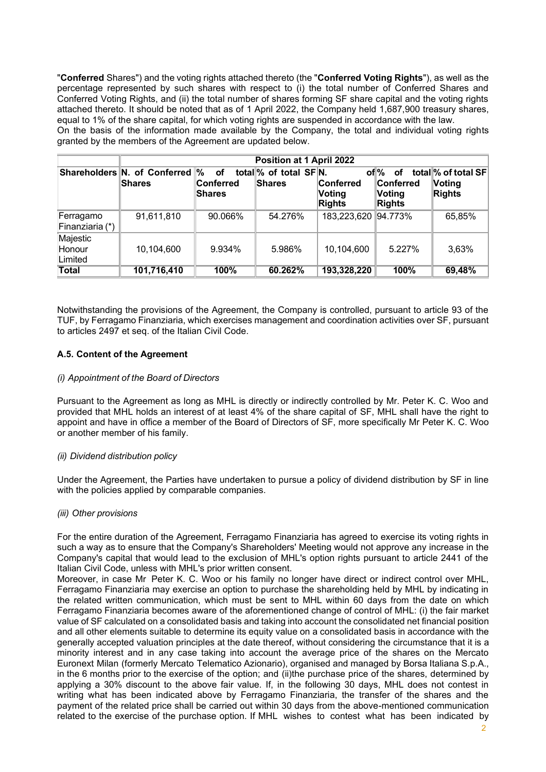"**Conferred** Shares") and the voting rights attached thereto (the "**Conferred Voting Rights**"), as well as the percentage represented by such shares with respect to (i) the total number of Conferred Shares and Conferred Voting Rights, and (ii) the total number of shares forming SF share capital and the voting rights attached thereto. It should be noted that as of 1 April 2022, the Company held 1,687,900 treasury shares, equal to 1% of the share capital, for which voting rights are suspended in accordance with the law.

On the basis of the information made available by the Company, the total and individual voting rights granted by the members of the Agreement are updated below.

|                               | Position at 1 April 2022                         |                                  |                                        |                                             |                                                                      |                                                 |
|-------------------------------|--------------------------------------------------|----------------------------------|----------------------------------------|---------------------------------------------|----------------------------------------------------------------------|-------------------------------------------------|
|                               | Shareholders N. of Conferred  %<br><b>Shares</b> | <b>of</b><br>Conferred<br>Shares | total % of total SFN.<br><b>Shares</b> | <b>Conferred</b><br>Voting<br><b>Rights</b> | of <sup>o</sup><br>οf<br><b>Conferred</b><br>Voting<br><b>Rights</b> | total % of total SF<br>∣Voting<br><b>Rights</b> |
| Ferragamo<br>Finanziaria (*)  | 91,611,810                                       | 90.066%                          | 54.276%                                | 183,223,620 94.773%                         |                                                                      | 65,85%                                          |
| Majestic<br>Honour<br>Limited | 10,104,600                                       | 9.934%                           | 5.986%                                 | 10,104,600                                  | 5.227%                                                               | 3,63%                                           |
| <b>Total</b>                  | 101,716,410                                      | 100%                             | 60.262%                                | 193,328,220                                 | 100%                                                                 | 69,48%                                          |

Notwithstanding the provisions of the Agreement, the Company is controlled, pursuant to article 93 of the TUF, by Ferragamo Finanziaria, which exercises management and coordination activities over SF, pursuant to articles 2497 et seq. of the Italian Civil Code.

## **A.5. Content of the Agreement**

#### *(i) Appointment of the Board of Directors*

Pursuant to the Agreement as long as MHL is directly or indirectly controlled by Mr. Peter K. C. Woo and provided that MHL holds an interest of at least 4% of the share capital of SF, MHL shall have the right to appoint and have in office a member of the Board of Directors of SF, more specifically Mr Peter K. C. Woo or another member of his family.

#### *(ii) Dividend distribution policy*

Under the Agreement, the Parties have undertaken to pursue a policy of dividend distribution by SF in line with the policies applied by comparable companies.

#### *(iii) Other provisions*

For the entire duration of the Agreement, Ferragamo Finanziaria has agreed to exercise its voting rights in such a way as to ensure that the Company's Shareholders' Meeting would not approve any increase in the Company's capital that would lead to the exclusion of MHL's option rights pursuant to article 2441 of the Italian Civil Code, unless with MHL's prior written consent.

Moreover, in case Mr Peter K. C. Woo or his family no longer have direct or indirect control over MHL, Ferragamo Finanziaria may exercise an option to purchase the shareholding held by MHL by indicating in the related written communication, which must be sent to MHL within 60 days from the date on which Ferragamo Finanziaria becomes aware of the aforementioned change of control of MHL: (i) the fair market value of SF calculated on a consolidated basis and taking into account the consolidated net financial position and all other elements suitable to determine its equity value on a consolidated basis in accordance with the generally accepted valuation principles at the date thereof, without considering the circumstance that it is a minority interest and in any case taking into account the average price of the shares on the Mercato Euronext Milan (formerly Mercato Telematico Azionario), organised and managed by Borsa Italiana S.p.A., in the 6 months prior to the exercise of the option; and (ii)the purchase price of the shares, determined by applying a 30% discount to the above fair value. If, in the following 30 days, MHL does not contest in writing what has been indicated above by Ferragamo Finanziaria, the transfer of the shares and the payment of the related price shall be carried out within 30 days from the above-mentioned communication related to the exercise of the purchase option. If MHL wishes to contest what has been indicated by